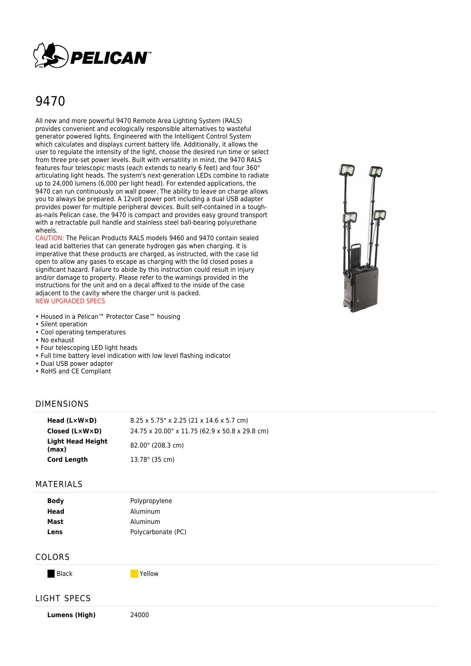

# 9470

All new and more powerful 9470 Remote Area Lighting System (RALS) provides convenient and ecologically responsible alternatives to wasteful generator powered lights. Engineered with the Intelligent Control System which calculates and displays current battery life. Additionally, it allows the user to regulate the intensity of the light, choose the desired run time or select from three pre-set power levels. Built with versatility in mind, the 9470 RALS features four telescopic masts (each extends to nearly 6 feet) and four 360° articulating light heads. The system's next-generation LEDs combine to radiate up to 24,000 lumens (6,000 per light head). For extended applications, the 9470 can run continuously on wall power. The ability to leave on charge allows you to always be prepared. A 12volt power port including a dual USB adapter provides power for multiple peripheral devices. Built self-contained in a toughas-nails Pelican case, the 9470 is compact and provides easy ground transport with a retractable pull handle and stainless steel ball-bearing polyurethane wheels.

CAUTION: The Pelican Products RALS models 9460 and 9470 contain sealed lead acid batteries that can generate hydrogen gas when charging. It is imperative that these products are charged, as instructed, with the case lid open to allow any gases to escape as charging with the lid closed poses a significant hazard. Failure to abide by this instruction could result in injury and/or damage to property. Please refer to the warnings provided in the instructions for the unit and on a decal affixed to the inside of the case adjacent to the cavity where the charger unit is packed. NEW UPGRADED SPECS

- Housed in a Pelican™ Protector Case™ housing
- Silent operation
- Cool operating temperatures
- No exhaust
- Four telescoping LED light heads
- Full time battery level indication with low level flashing indicator
- Dual USB power adapter
- RoHS and CE Compliant

#### DIMENSIONS

| Head $(L \times W \times D)$ | $8.25 \times 5.75$ " x 2.25 (21 x 14.6 x 5.7 cm) |
|------------------------------|--------------------------------------------------|
| Closed (L×W×D)               | 24.75 x 20.00" x 11.75 (62.9 x 50.8 x 29.8 cm)   |
| Light Head Height<br>(max)   | 82.00" (208.3 cm)                                |
| <b>Cord Length</b>           | 13.78" (35 cm)                                   |

#### MATERIALS

| <b>Body</b> | Polypropylene      |
|-------------|--------------------|
| Head        | Aluminum           |
| Mast        | Aluminum           |
| Lens        | Polycarbonate (PC) |

#### COLORS

Black **Yellow** 

## LIGHT SPECS

**Lumens (High)** 24000